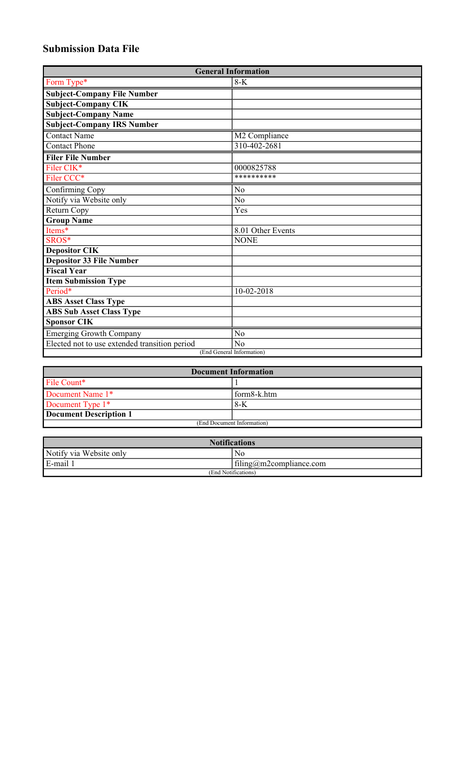## **Submission Data File**

| <b>General Information</b>                    |                   |  |
|-----------------------------------------------|-------------------|--|
| Form Type*                                    | $8-K$             |  |
| <b>Subject-Company File Number</b>            |                   |  |
| <b>Subject-Company CIK</b>                    |                   |  |
| <b>Subject-Company Name</b>                   |                   |  |
| <b>Subject-Company IRS Number</b>             |                   |  |
| <b>Contact Name</b>                           | M2 Compliance     |  |
| <b>Contact Phone</b>                          | 310-402-2681      |  |
| <b>Filer File Number</b>                      |                   |  |
| Filer CIK*                                    | 0000825788        |  |
| Filer CCC*                                    | **********        |  |
| Confirming Copy                               | N <sub>o</sub>    |  |
| Notify via Website only                       | N <sub>o</sub>    |  |
| Return Copy                                   | Yes               |  |
| <b>Group Name</b>                             |                   |  |
| Items*                                        | 8.01 Other Events |  |
| SROS*                                         | <b>NONE</b>       |  |
| <b>Depositor CIK</b>                          |                   |  |
| <b>Depositor 33 File Number</b>               |                   |  |
| <b>Fiscal Year</b>                            |                   |  |
| <b>Item Submission Type</b>                   |                   |  |
| Period*                                       | $10 - 02 - 2018$  |  |
| <b>ABS Asset Class Type</b>                   |                   |  |
| <b>ABS Sub Asset Class Type</b>               |                   |  |
| <b>Sponsor CIK</b>                            |                   |  |
| <b>Emerging Growth Company</b>                | $\overline{No}$   |  |
| Elected not to use extended transition period | No                |  |
| (End General Information)                     |                   |  |

| <b>Document Information</b> |             |  |
|-----------------------------|-------------|--|
| File Count*                 |             |  |
| Document Name 1*            | form8-k.htm |  |
| Document Type 1*            | 8-K         |  |
| Document Description 1      |             |  |
| (End Document Information)  |             |  |

| <b>Notifications</b>    |                         |  |
|-------------------------|-------------------------|--|
| Notify via Website only | No                      |  |
| E-mail 1                | filing@m2compliance.com |  |
| (End Notifications)     |                         |  |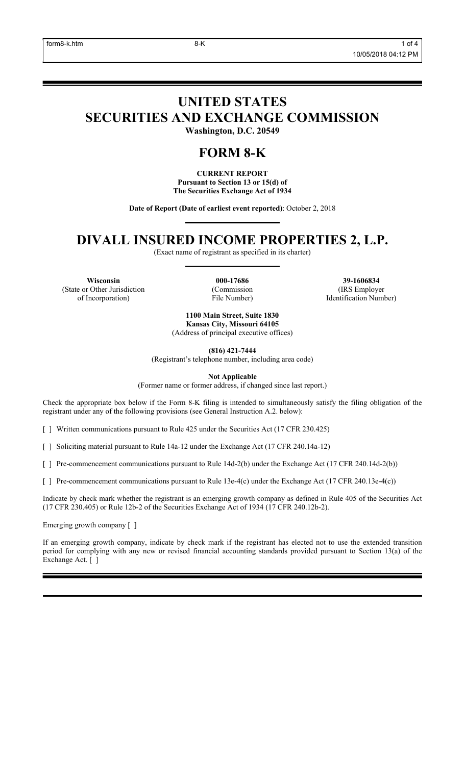# **UNITED STATES SECURITIES AND EXCHANGE COMMISSION**

**Washington, D.C. 20549**

### **FORM 8-K**

**CURRENT REPORT Pursuant to Section 13 or 15(d) of The Securities Exchange Act of 1934**

**Date of Report (Date of earliest event reported)**: October 2, 2018

### **DIVALL INSURED INCOME PROPERTIES 2, L.P.**

(Exact name of registrant as specified in its charter)

**Wisconsin 000-17686 39-1606834** (State or Other Jurisdiction of Incorporation)

(Commission File Number)

(IRS Employer Identification Number)

**1100 Main Street, Suite 1830 Kansas City, Missouri 64105** (Address of principal executive offices)

**(816) 421-7444**

(Registrant's telephone number, including area code)

**Not Applicable**

(Former name or former address, if changed since last report.)

Check the appropriate box below if the Form 8-K filing is intended to simultaneously satisfy the filing obligation of the registrant under any of the following provisions (see General Instruction A.2. below):

[ ] Written communications pursuant to Rule 425 under the Securities Act (17 CFR 230.425)

[ ] Soliciting material pursuant to Rule 14a-12 under the Exchange Act (17 CFR 240.14a-12)

[ ] Pre-commencement communications pursuant to Rule 14d-2(b) under the Exchange Act (17 CFR 240.14d-2(b))

[ ] Pre-commencement communications pursuant to Rule 13e-4(c) under the Exchange Act (17 CFR 240.13e-4(c))

Indicate by check mark whether the registrant is an emerging growth company as defined in Rule 405 of the Securities Act (17 CFR 230.405) or Rule 12b-2 of the Securities Exchange Act of 1934 (17 CFR 240.12b-2).

Emerging growth company [ ]

If an emerging growth company, indicate by check mark if the registrant has elected not to use the extended transition period for complying with any new or revised financial accounting standards provided pursuant to Section 13(a) of the Exchange Act. [ ]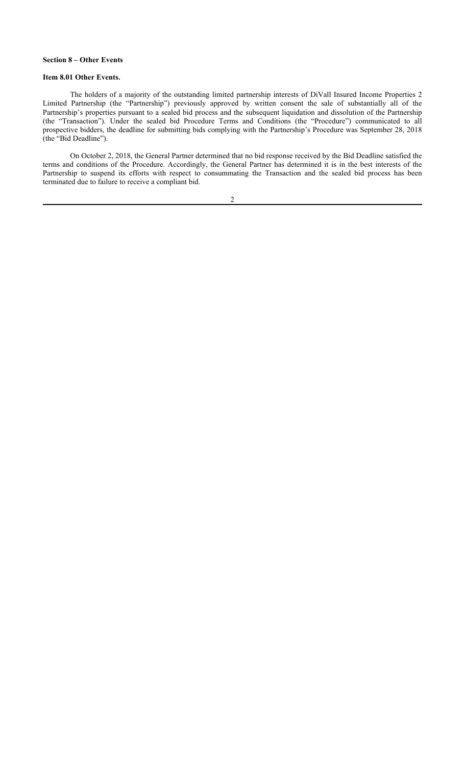#### **Section 8 – Other Events**

#### **Item 8.01 Other Events.**

The holders of a majority of the outstanding limited partnership interests of DiVall Insured Income Properties 2 Limited Partnership (the "Partnership") previously approved by written consent the sale of substantially all of the Partnership's properties pursuant to a sealed bid process and the subsequent liquidation and dissolution of the Partnership (the "Transaction"). Under the sealed bid Procedure Terms and Conditions (the "Procedure") communicated to all prospective bidders, the deadline for submitting bids complying with the Partnership's Procedure was September 28, 2018 (the "Bid Deadline").

On October 2, 2018, the General Partner determined that no bid response received by the Bid Deadline satisfied the terms and conditions of the Procedure. Accordingly, the General Partner has determined it is in the best interests of the Partnership to suspend its efforts with respect to consummating the Transaction and the sealed bid process has been terminated due to failure to receive a compliant bid.

2